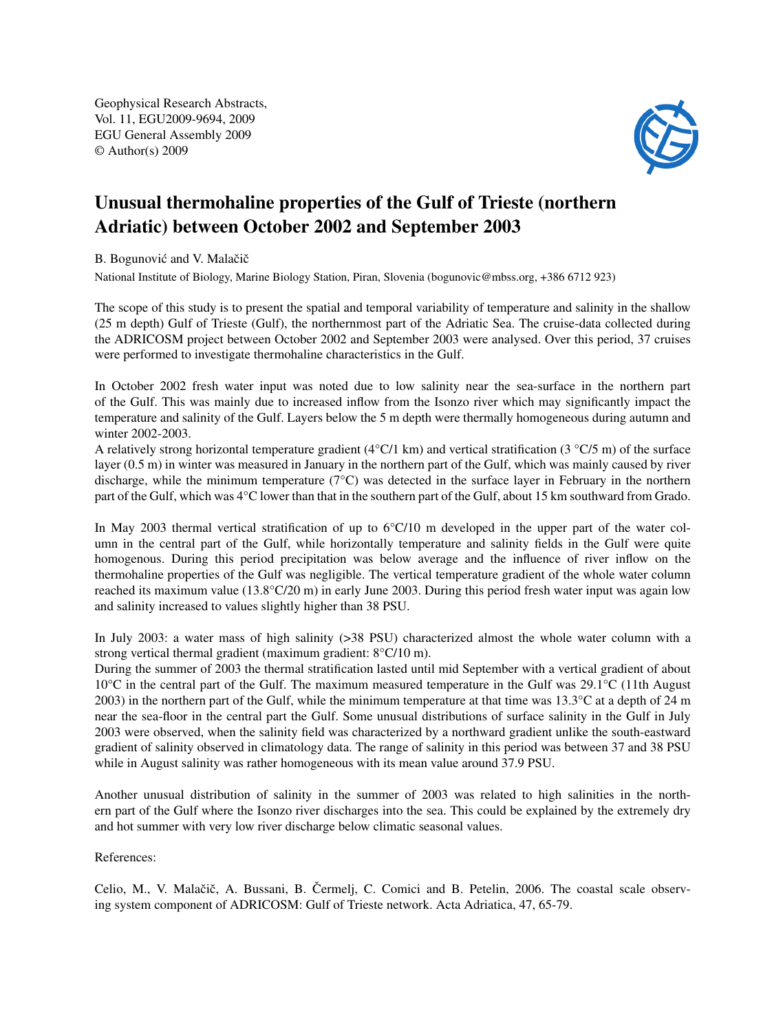Geophysical Research Abstracts, Vol. 11, EGU2009-9694, 2009 EGU General Assembly 2009 © Author(s) 2009



## Unusual thermohaline properties of the Gulf of Trieste (northern Adriatic) between October 2002 and September 2003

B. Bogunović and V. Malačič

National Institute of Biology, Marine Biology Station, Piran, Slovenia (bogunovic@mbss.org, +386 6712 923)

The scope of this study is to present the spatial and temporal variability of temperature and salinity in the shallow (25 m depth) Gulf of Trieste (Gulf), the northernmost part of the Adriatic Sea. The cruise-data collected during the ADRICOSM project between October 2002 and September 2003 were analysed. Over this period, 37 cruises were performed to investigate thermohaline characteristics in the Gulf.

In October 2002 fresh water input was noted due to low salinity near the sea-surface in the northern part of the Gulf. This was mainly due to increased inflow from the Isonzo river which may significantly impact the temperature and salinity of the Gulf. Layers below the 5 m depth were thermally homogeneous during autumn and winter 2002-2003.

A relatively strong horizontal temperature gradient ( $4^{\circ}C/1$  km) and vertical stratification (3  $^{\circ}C/5$  m) of the surface layer (0.5 m) in winter was measured in January in the northern part of the Gulf, which was mainly caused by river discharge, while the minimum temperature ( $7^{\circ}$ C) was detected in the surface layer in February in the northern part of the Gulf, which was 4°C lower than that in the southern part of the Gulf, about 15 km southward from Grado.

In May 2003 thermal vertical stratification of up to  $6^{\circ}C/10$  m developed in the upper part of the water column in the central part of the Gulf, while horizontally temperature and salinity fields in the Gulf were quite homogenous. During this period precipitation was below average and the influence of river inflow on the thermohaline properties of the Gulf was negligible. The vertical temperature gradient of the whole water column reached its maximum value (13.8°C/20 m) in early June 2003. During this period fresh water input was again low and salinity increased to values slightly higher than 38 PSU.

In July 2003: a water mass of high salinity (>38 PSU) characterized almost the whole water column with a strong vertical thermal gradient (maximum gradient: 8°C/10 m).

During the summer of 2003 the thermal stratification lasted until mid September with a vertical gradient of about 10°C in the central part of the Gulf. The maximum measured temperature in the Gulf was 29.1°C (11th August 2003) in the northern part of the Gulf, while the minimum temperature at that time was 13.3°C at a depth of 24 m near the sea-floor in the central part the Gulf. Some unusual distributions of surface salinity in the Gulf in July 2003 were observed, when the salinity field was characterized by a northward gradient unlike the south-eastward gradient of salinity observed in climatology data. The range of salinity in this period was between 37 and 38 PSU while in August salinity was rather homogeneous with its mean value around 37.9 PSU.

Another unusual distribution of salinity in the summer of 2003 was related to high salinities in the northern part of the Gulf where the Isonzo river discharges into the sea. This could be explained by the extremely dry and hot summer with very low river discharge below climatic seasonal values.

References:

Celio, M., V. Malačič, A. Bussani, B. Čermelj, C. Comici and B. Petelin, 2006. The coastal scale observing system component of ADRICOSM: Gulf of Trieste network. Acta Adriatica, 47, 65-79.